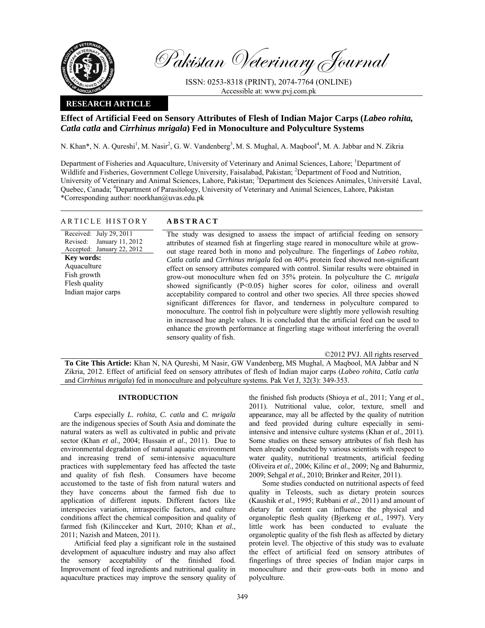

Pakistan Veterinary Journal

ISSN: 0253-8318 (PRINT), 2074-7764 (ONLINE) Accessible at: www.pvj.com.pk

## **RESEARCH ARTICLE**

# **Effect of Artificial Feed on Sensory Attributes of Flesh of Indian Major Carps (***Labeo rohita, Catla catla* **and** *Cirrhinus mrigala***) Fed in Monoculture and Polyculture Systems**

N. Khan\*, N. A. Qureshi<sup>1</sup>, M. Nasir<sup>2</sup>, G. W. Vandenberg<sup>3</sup>, M. S. Mughal, A. Maqbool<sup>4</sup>, M. A. Jabbar and N. Zikria

Department of Fisheries and Aquaculture, University of Veterinary and Animal Sciences, Lahore; <sup>1</sup>Department of Wildlife and Fisheries, Government College University, Faisalabad, Pakistan; <sup>2</sup>Department of Food and Nutrition, University of Veterinary and Animal Sciences, Lahore, Pakistan; <sup>3</sup>Department des Sciences Animales, Université Laval, Quebec, Canada; <sup>4</sup>Department of Parasitology, University of Veterinary and Animal Sciences, Lahore, Pakistan \*Corresponding author: noorkhan@uvas.edu.pk

### ARTICLE HISTORY **ABSTRACT**

Received: July 29, 2011 Revised: January 11, 2012 Accepted: January 22, 2012 **Key words:**  Aquaculture Fish growth Flesh quality Indian major carps

The study was designed to assess the impact of artificial feeding on sensory attributes of steamed fish at fingerling stage reared in monoculture while at growout stage reared both in mono and polyculture. The fingerlings of *Labeo rohita, Catla catla* and *Cirrhinus mrigala* fed on 40% protein feed showed non-significant effect on sensory attributes compared with control. Similar results were obtained in grow-out monoculture when fed on 35% protein. In polyculture the *C. mrigala*  showed significantly (P<0.05) higher scores for color, oiliness and overall acceptability compared to control and other two species. All three species showed significant differences for flavor, and tenderness in polyculture compared to monoculture. The control fish in polyculture were slightly more yellowish resulting in increased hue angle values. It is concluded that the artificial feed can be used to enhance the growth performance at fingerling stage without interfering the overall sensory quality of fish.

©2012 PVJ. All rights reserved

**To Cite This Article:** Khan N, NA Qureshi, M Nasir, GW Vandenberg, MS Mughal, A Maqbool, MA Jabbar and N Zikria, 2012. Effect of artificial feed on sensory attributes of flesh of Indian major carps (*Labeo rohita, Catla catla*  and *Cirrhinus mrigala*) fed in monoculture and polyculture systems. Pak Vet J, 32(3): 349-353.

## **INTRODUCTION**

Carps especially *L. rohita, C. catla* and *C. mrigala* are the indigenous species of South Asia and dominate the natural waters as well as cultivated in public and private sector (Khan *et al.,* 2004; Hussain *et al*., 2011). Due to environmental degradation of natural aquatic environment and increasing trend of semi-intensive aquaculture practices with supplementary feed has affected the taste and quality of fish flesh. Consumers have become accustomed to the taste of fish from natural waters and they have concerns about the farmed fish due to application of different inputs. Different factors like interspecies variation, intraspecific factors, and culture conditions affect the chemical composition and quality of farmed fish (Kilincceker and Kurt, 2010; Khan *et al.*, 2011; Nazish and Mateen, 2011).

Artificial feed play a significant role in the sustained development of aquaculture industry and may also affect the sensory acceptability of the finished food. Improvement of feed ingredients and nutritional quality in aquaculture practices may improve the sensory quality of the finished fish products (Shioya *et al.*, 2011; Yang *et al.*, 2011). Nutritional value, color, texture, smell and appearance, may all be affected by the quality of nutrition and feed provided during culture especially in semiintensive and intensive culture systems (Khan *et al*., 2011). Some studies on these sensory attributes of fish flesh has been already conducted by various scientists with respect to water quality, nutritional treatments, artificial feeding (Oliveira *et al.,* 2006; Kilinc *et al.,* 2009; Ng and Bahurmiz, 2009; Sehgal *et al.,* 2010; Brinker and Reiter, 2011).

Some studies conducted on nutritional aspects of feed quality in Teleosts, such as dietary protein sources (Kaushik *et al.,* 1995; Rubbani *et al*., 2011) and amount of dietary fat content can influence the physical and organoleptic flesh quality (Bjerkeng *et al.,* 1997). Very little work has been conducted to evaluate the organoleptic quality of the fish flesh as affected by dietary protein level. The objective of this study was to evaluate the effect of artificial feed on sensory attributes of fingerlings of three species of Indian major carps in monoculture and their grow-outs both in mono and polyculture.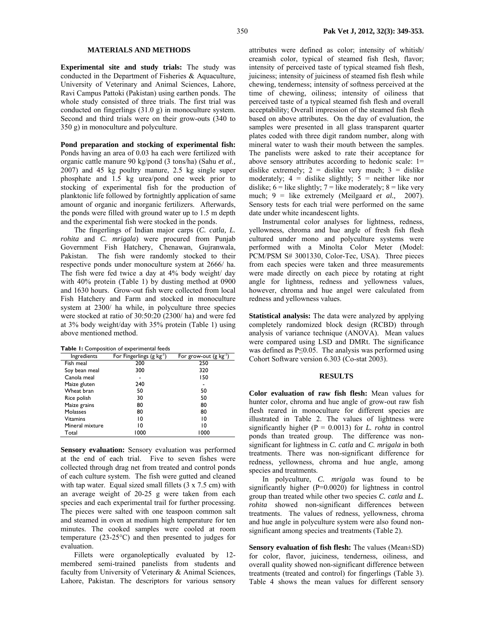#### **MATERIALS AND METHODS**

**Experimental site and study trials:** The study was conducted in the Department of Fisheries & Aquaculture, University of Veterinary and Animal Sciences, Lahore, Ravi Campus Pattoki (Pakistan) using earthen ponds. The whole study consisted of three trials. The first trial was conducted on fingerlings (31.0 g) in monoculture system. Second and third trials were on their grow-outs (340 to 350 g) in monoculture and polyculture.

**Pond preparation and stocking of experimental fish:**  Ponds having an area of 0.03 ha each were fertilized with organic cattle manure 90 kg/pond (3 tons/ha) (Sahu *et al.,* 2007) and 45 kg poultry manure, 2.5 kg single super phosphate and 1.5 kg urea/pond one week prior to stocking of experimental fish for the production of planktonic life followed by fortnightly application of same amount of organic and inorganic fertilizers. Afterwards, the ponds were filled with ground water up to 1.5 m depth and the experimental fish were stocked in the ponds.

The fingerlings of Indian major carps (*C. catla, L. rohita* and *C. mrigala*) were procured from Punjab Government Fish Hatchery, Chenawan, Gujranwala, Pakistan. The fish were randomly stocked to their respective ponds under monoculture system at 2666/ ha. The fish were fed twice a day at 4% body weight/ day with 40% protein (Table 1) by dusting method at 0900 and 1630 hours. Grow-out fish were collected from local Fish Hatchery and Farm and stocked in monoculture system at 2300/ ha while, in polyculture three species were stocked at ratio of 30:50:20 (2300/ ha) and were fed at 3% body weight/day with 35% protein (Table 1) using above mentioned method.

| Table 1: Composition of experimental feeds |
|--------------------------------------------|
|--------------------------------------------|

| Ingredients     | For Fingerlings (g kg <sup>-1</sup> ) | For grow-out $(g \, kg^{-1})$ |
|-----------------|---------------------------------------|-------------------------------|
| Fish meal       | 200                                   | 250                           |
| Soy bean meal   | 300                                   | 320                           |
| Canola meal     |                                       | 150                           |
| Maize gluten    | 240                                   |                               |
| Wheat bran      | 50                                    | 50                            |
| Rice polish     | 30                                    | 50                            |
| Maize grains    | 80                                    | 80                            |
| <b>Molasses</b> | 80                                    | 80                            |
| Vitamins        | 10                                    | 10                            |
| Mineral mixture | 10                                    | 10                            |
| Total           | 1000                                  | 1000                          |

**Sensory evaluation:** Sensory evaluation was performed at the end of each trial. Five to seven fishes were collected through drag net from treated and control ponds of each culture system. The fish were gutted and cleaned with tap water. Equal sized small fillets  $(3 \times 7.5 \text{ cm})$  with an average weight of 20-25 g were taken from each species and each experimental trail for further processing. The pieces were salted with one teaspoon common salt and steamed in oven at medium high temperature for ten minutes. The cooked samples were cooled at room temperature (23-25°C) and then presented to judges for evaluation.

Fillets were organoleptically evaluated by 12 membered semi-trained panelists from students and faculty from University of Veterinary & Animal Sciences, Lahore, Pakistan. The descriptors for various sensory

attributes were defined as color; intensity of whitish/ creamish color, typical of steamed fish flesh, flavor; intensity of perceived taste of typical steamed fish flesh, juiciness; intensity of juiciness of steamed fish flesh while chewing, tenderness; intensity of softness perceived at the time of chewing, oiliness; intensity of oiliness that perceived taste of a typical steamed fish flesh and overall acceptability; Overall impression of the steamed fish flesh based on above attributes. On the day of evaluation, the samples were presented in all glass transparent quarter plates coded with three digit random number, along with mineral water to wash their mouth between the samples. The panelists were asked to rate their acceptance for above sensory attributes according to hedonic scale: 1= dislike extremely;  $2 =$  dislike very much;  $3 =$  dislike moderately;  $4 =$  dislike slightly;  $5 =$  neither like nor dislike;  $6 =$  like slightly;  $7 =$  like moderately;  $8 =$  like very much; 9 = like extremely (Meilgaard *et al.,* 2007). Sensory tests for each trial were performed on the same date under white incandescent lights.

Instrumental color analyses for lightness, redness, yellowness, chroma and hue angle of fresh fish flesh cultured under mono and polyculture systems were performed with a Minolta Color Meter (Model: PCM/PSM S# 3001330, Color-Tec, USA). Three pieces from each species were taken and three measurements were made directly on each piece by rotating at right angle for lightness, redness and yellowness values, however, chroma and hue angel were calculated from redness and yellowness values.

**Statistical analysis:** The data were analyzed by applying completely randomized block design (RCBD) through analysis of variance technique (ANOVA). Mean values were compared using LSD and DMRt. The significance was defined as P≤0.05. The analysis was performed using Cohort Software version 6.303 (Co-stat 2003).

#### **RESULTS**

**Color evaluation of raw fish flesh:** Mean values for hunter color, chroma and hue angle of grow-out raw fish flesh reared in monoculture for different species are illustrated in Table 2. The values of lightness were significantly higher ( $P = 0.0013$ ) for *L. rohta* in control ponds than treated group.The difference was nonsignificant for lightness in *C. catla* and *C. mrigala* in both treatments. There was non-significant difference for redness, yellowness, chroma and hue angle, among species and treatments.

In polyculture, *C. mrigala* was found to be significantly higher (P=0.0020) for lightness in control group than treated while other two species *C. catla* and *L. rohita* showed non-significant differences between treatments. The values of redness, yellowness, chroma and hue angle in polyculture system were also found nonsignificant among species and treatments (Table 2).

**Sensory evaluation of fish flesh:** The values (Mean±SD) for color, flavor, juiciness, tenderness, oiliness, and overall quality showed non-significant difference between treatments (treated and control) for fingerlings (Table 3). Table 4 shows the mean values for different sensory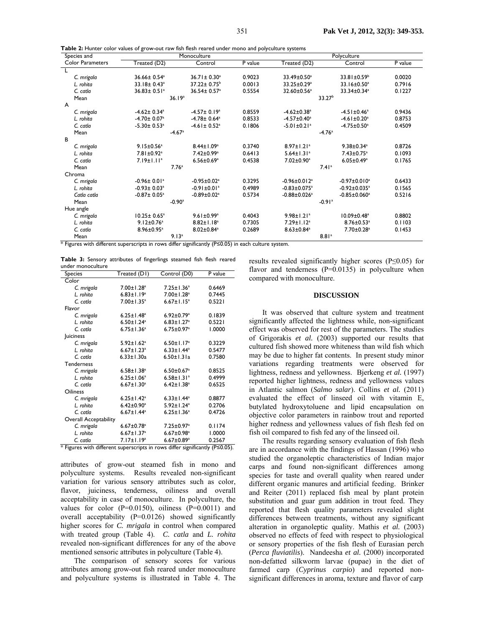| Species and             |                               | Monoculture                   |                    |                                | Polyculture                    |         |  |  |
|-------------------------|-------------------------------|-------------------------------|--------------------|--------------------------------|--------------------------------|---------|--|--|
| <b>Color Parameters</b> | Treated (D2)                  | Control                       | $P$ value          | Treated (D2)                   | Control                        | P value |  |  |
|                         |                               |                               |                    |                                |                                |         |  |  |
| C. mrigala              | 36.66± 0.54 <sup>a</sup>      | $36.71 \pm 0.30^a$            | 0.9023             | 33.49±0.50 <sup>a</sup>        | $33.81 \pm 0.59^b$             | 0.0020  |  |  |
| L. rohita               | 33.18± 0.43 <sup>a</sup>      | $37.22 \pm 0.75$ <sup>b</sup> | 0.0013             | 33.25±0.29 <sup>a</sup>        | 33.16±0.50 <sup>a</sup>        | 0.7916  |  |  |
| C. catla                | $36.83 \pm 0.51$ <sup>a</sup> | $36.54 \pm 0.57$ <sup>a</sup> | 0.5554             | 32.60±0.56 <sup>a</sup>        | 33.34±0.34 <sup>a</sup>        | 0.1227  |  |  |
| Mean                    | 36.19 <sup>a</sup>            |                               | 33.27 <sup>b</sup> |                                |                                |         |  |  |
| A                       |                               |                               |                    |                                |                                |         |  |  |
| C. mrigala              | $-4.62 \pm 0.34$ <sup>a</sup> | $-4.57 \pm 0.19^a$            | 0.8559             | $-4.62 \pm 0.38$ <sup>a</sup>  | $-4.51 \pm 0.46^a$             | 0.9436  |  |  |
| L. rohita               | $-4.70 \pm 0.07$ <sup>a</sup> | $-4.78 \pm 0.64$ <sup>a</sup> | 0.8533             | $-4.57 \pm 0.40$ <sup>a</sup>  | $-4.61 \pm 0.20$ <sup>a</sup>  | 0.8753  |  |  |
| C. catla                | $-5.30 \pm 0.53$ <sup>a</sup> | $-4.61 \pm 0.52$ <sup>a</sup> | 0.1806             | $-5.01 \pm 0.21$ <sup>a</sup>  | $-4.75 \pm 0.50^a$             | 0.4509  |  |  |
| Mean                    | $-4.67$ <sup>a</sup>          |                               | $-4.76a$           |                                |                                |         |  |  |
| в                       |                               |                               |                    |                                |                                |         |  |  |
| C. mrigala              | $9.15 \pm 0.56^a$             | $8.44 \pm 1.09^a$             | 0.3740             | $8.97 \pm 1.21$ <sup>a</sup>   | $9.38 \pm 0.34$ <sup>a</sup>   | 0.8726  |  |  |
| L. rohita               | 7.81±0.92 <sup>a</sup>        | 7.42±0.99 <sup>a</sup>        | 0.6413             | $5.64 \pm 1.31$ <sup>a</sup>   | $7.43 \pm 0.75$ <sup>a</sup>   | 0.1093  |  |  |
| C. catla                | $7.19 \pm 1.11$ <sup>a</sup>  | $6.56 \pm 0.69^a$             | 0.4538             | 7.02±0.90 <sup>a</sup>         | $6.05 \pm 0.49^a$              | 0.1765  |  |  |
| Mean                    | 7.76 <sup>a</sup>             |                               |                    | 7.41 <sup>a</sup>              |                                |         |  |  |
| Chroma                  |                               |                               |                    |                                |                                |         |  |  |
| C. mrigala              | $-0.96 \pm 0.01$ <sup>a</sup> | $-0.95 \pm 0.02$ <sup>a</sup> | 0.3295             | $-0.96 \pm 0.012$ <sup>a</sup> | $-0.97 \pm 0.010^a$            | 0.6433  |  |  |
| L. rohita               | $-0.93 \pm 0.03$ <sup>a</sup> | $-0.91 \pm 0.01$ <sup>a</sup> | 0.4989             | $-0.83 \pm 0.075$ <sup>a</sup> | $-0.92 \pm 0.035$ <sup>a</sup> | 0.1565  |  |  |
| Catla catla             | $-0.87 \pm 0.05^a$            | $-0.89 \pm 0.02$ <sup>a</sup> | 0.5734             | $-0.88 \pm 0.026$ <sup>a</sup> | $-0.85 \pm 0.060$ <sup>a</sup> | 0.5216  |  |  |
| Mean                    | $-0.90$ <sup>a</sup>          |                               |                    | $-0.91$ <sup>a</sup>           |                                |         |  |  |
| Hue angle               |                               |                               |                    |                                |                                |         |  |  |
| C. mrigala              | $10.25 \pm 0.65^{\circ}$      | $9.61 \pm 0.99^a$             | 0.4043             | $9.98 \pm 1.21$ <sup>a</sup>   | $10.09 \pm 0.48$ <sup>a</sup>  | 0.8802  |  |  |
| L. rohita               | $9.12 \pm 0.76$ <sup>a</sup>  | $8.82 \pm 1.18^a$             | 0.7305             | $7.29 \pm 1.12$ <sup>a</sup>   | $8.76 \pm 0.53$ <sup>a</sup>   | 0.1103  |  |  |
| C. catla                | 8.96±0.95 <sup>a</sup>        | $8.02 \pm 0.84$ <sup>a</sup>  | 0.2689             | $8.63 \pm 0.84$ <sup>a</sup>   | 7.70±0.28 <sup>a</sup>         | 0.1453  |  |  |
| Mean                    | 9.13 <sup>a</sup>             |                               |                    | 8.81a                          |                                |         |  |  |

**Table 2:** Hunter color values of grow-out raw fish flesh reared under mono and polyculture systems

\* Figures with different superscripts in rows differ significantly (P≤0.05) in each culture system.

**Table 3:** Sensory attributes of fingerlings steamed fish flesh reared under monoculture

| <b>Species</b>               | Treated (D1)                 | Control (D0)                 | P value |
|------------------------------|------------------------------|------------------------------|---------|
| Color                        |                              |                              |         |
| C. mrigala                   | $7.00 \pm 1.28$ <sup>a</sup> | $7.25 \pm 1.36^a$            | 0.6469  |
| L. rohita                    | $6.83 \pm 1.19^a$            | $7.00 \pm 1.28$ <sup>a</sup> | 0.7445  |
| C. catla                     | $7.00 \pm 1.35^a$            | $6.67 \pm 1.15$ <sup>a</sup> | 0.5221  |
| Flavor                       |                              |                              |         |
| C. mrigala                   | $6.25 \pm 1.48$ <sup>a</sup> | $6.92 \pm 0.79$ <sup>a</sup> | 0.1839  |
| L. rohita                    | $6.50 \pm 1.24$ <sup>a</sup> | $6.83 \pm 1.27$ <sup>a</sup> | 0.5221  |
| C. catla                     | $6.75 \pm 1.36^a$            | $6.75 \pm 0.97$ <sup>a</sup> | 1.0000  |
| <b>Juiciness</b>             |                              |                              |         |
| C. mrigala                   | $5.92 \pm 1.62$ <sup>a</sup> | $6.50 \pm 1.17$ <sup>a</sup> | 0.3229  |
| L. rohita                    | $6.67 \pm 1.23$ <sup>a</sup> | $6.33 \pm 1.44$ <sup>a</sup> | 0.5477  |
| C. catla                     | $6.33 \pm 1.30a$             | $6.50 \pm 1.31a$             | 0.7580  |
| <b>Tenderness</b>            |                              |                              |         |
| C. mrigala                   | $6.58 \pm 1.38^a$            | $6.50 \pm 0.67$ <sup>a</sup> | 0.8525  |
| L. rohita                    | $6.25 \pm 1.06^a$            | $6.58 \pm 1.31$ <sup>a</sup> | 0.4999  |
| C. catla                     | $6.67 \pm 1.30^a$            | $6.42 \pm 1.38$ <sup>a</sup> | 0.6525  |
| <b>Oiliness</b>              |                              |                              |         |
| C. mrigala                   | $6.25 \pm 1.42^a$            | $6.33 \pm 1.44$ <sup>a</sup> | 0.8877  |
| L. rohita                    | $6.42 \pm 0.90^a$            | $5.92 \pm 1.24$ <sup>a</sup> | 0.2706  |
| C. catla                     | $6.67 \pm 1.44^a$            | $6.25 \pm 1.36^a$            | 0.4726  |
| <b>Overall Acceptability</b> |                              |                              |         |
| C. mrigala                   | $6.67 \pm 0.78$ <sup>a</sup> | $7.25 \pm 0.97$ <sup>a</sup> | 0.1174  |
| L. rohita                    | $6.67 \pm 1.37$ <sup>a</sup> | $6.67 \pm 0.98$ <sup>a</sup> | 1.0000  |
| C. catla                     | 7.17±1.19 <sup>a</sup>       | $6.67 \pm 0.89$ <sup>a</sup> | 0.2567  |

\* Figures with different superscripts in rows differ significantly (P≤0.05).

attributes of grow-out steamed fish in mono and polyculture systems. Results revealed non-significant variation for various sensory attributes such as color, flavor, juiciness, tenderness, oiliness and overall acceptability in case of monoculture. In polyculture, the values for color  $(P=0.0150)$ , oiliness  $(P=0.0011)$  and overall acceptability (P=0.0126) showed significantly higher scores for *C. mrigala* in control when compared with treated group (Table 4). *C. catla* and *L. rohita* revealed non-significant differences for any of the above mentioned sensoric attributes in polyculture (Table 4).

The comparison of sensory scores for various attributes among grow-out fish reared under monoculture and polyculture systems is illustrated in Table 4. The

results revealed significantly higher scores (P≤0.05) for flavor and tenderness  $(P=0.0135)$  in polyculture when compared with monoculture.

#### **DISCUSSION**

It was observed that culture system and treatment significantly affected the lightness while, non-significant effect was observed for rest of the parameters. The studies of Grigorakis *et al.* (2003) supported our results that cultured fish showed more whiteness than wild fish which may be due to higher fat contents. In present study minor variations regarding treatments were observed for lightness, redness and yellowness. Bjerkeng *et al.* (1997) reported higher lightness, redness and yellowness values in Atlantic salmon (*Salmo salar*). Collins *et al.* (2011) evaluated the effect of linseed oil with vitamin E, butylated hydroxytoluene and lipid encapsulation on objective color parameters in rainbow trout and reported higher redness and yellowness values of fish flesh fed on fish oil compared to fish fed any of the linseed oil.

The results regarding sensory evaluation of fish flesh are in accordance with the findings of Hassan (1996) who studied the organoleptic characteristics of Indian major carps and found non-significant differences among species for taste and overall quality when reared under different organic manures and artificial feeding. Brinker and Reiter (2011) replaced fish meal by plant protein substitution and guar gum addition in trout feed. They reported that flesh quality parameters revealed slight differences between treatments, without any significant alteration in organoleptic quality. Mathis *et al.* (2003) observed no effects of feed with respect to physiological or sensory properties of the fish flesh of Eurasian perch (*Perca fluviatilis*). Nandeesha *et al.* (2000) incorporated non-defatted silkworm larvae (pupae) in the diet of farmed carp (*Cyprinus carpio*) and reported nonsignificant differences in aroma, texture and flavor of carp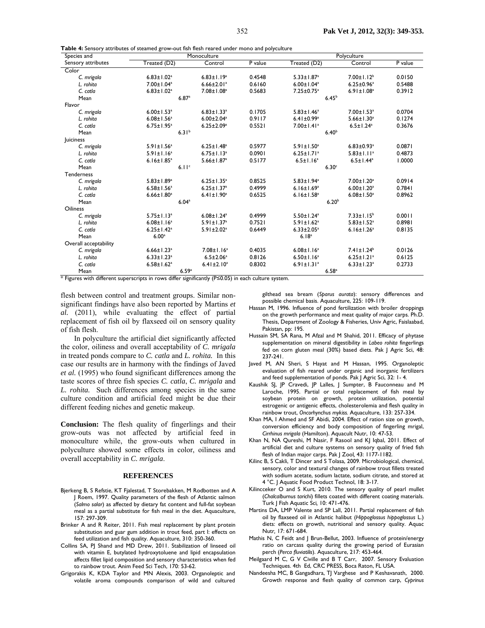**Table 4:** Sensory attributes of steamed grow-out fish flesh reared under mono and polyculture

| Species and           | ິ<br>Monoculture             |                              |                   | Polyculture                  |                              |         |
|-----------------------|------------------------------|------------------------------|-------------------|------------------------------|------------------------------|---------|
| Sensory attributes    | Treated (D2)                 | Control                      | P value           | Treated (D2)                 | Control                      | P value |
| Color                 |                              |                              |                   |                              |                              |         |
| C. mrigala            | $6.83 \pm 1.02$ <sup>a</sup> | $6.83 \pm 1.19^a$            | 0.4548            | $5.33 \pm 1.87$ <sup>a</sup> | $7.00 \pm 1.12^b$            | 0.0150  |
| L. rohita             | 7.00±1.04 <sup>a</sup>       | $6.66 \pm 2.01$ <sup>a</sup> | 0.6160            | $6.00 \pm 1.04^a$            | $6.25 \pm 0.96^a$            | 0.5488  |
| C. catla              | $6.83 \pm 1.02$ <sup>a</sup> | $7.08 \pm 1.08^a$            | 0.5683            | $7.25 \pm 0.75$ <sup>a</sup> | $6.91 \pm 1.08$ <sup>a</sup> | 0.3912  |
| Mean                  | 6.87a                        |                              |                   | 6.45 <sup>b</sup>            |                              |         |
| Flavor                |                              |                              |                   |                              |                              |         |
| C. mrigala            | $6.00 \pm 1.53$ <sup>a</sup> | $6.83 \pm 1.33$ <sup>a</sup> | 0.1705            | $5.83 \pm 1.46^a$            | $7.00 \pm 1.53$ <sup>a</sup> | 0.0704  |
| L. rohita             | $6.08 \pm 1.56^a$            | $6.00 \pm 2.04$ <sup>a</sup> | 0.9117            | $6.41 \pm 0.99$ <sup>a</sup> | $5.66 \pm 1.30^a$            | 0.1274  |
| C. catla              | $6.75 \pm 1.95^a$            | $6.25 \pm 2.09^a$            | 0.5521            | $7.00 \pm 1.41$ <sup>a</sup> | $6.5 \pm 1.24$ <sup>a</sup>  | 0.3676  |
| Mean                  | 6.31 <sup>b</sup>            |                              | 6.40 <sup>b</sup> |                              |                              |         |
| Juiciness             |                              |                              |                   |                              |                              |         |
| C. mrigala            | $5.91 \pm 1.56^a$            | $6.25 \pm 1.48^a$            | 0.5977            | $5.91 \pm 1.50^a$            | $6.83 \pm 0.93$ <sup>a</sup> | 0.0871  |
| L. rohita             | $5.91 \pm 1.16^a$            | $6.75 \pm 1.13$ <sup>a</sup> | 0.0901            | $6.25 \pm 1.71$ <sup>a</sup> | $5.83 \pm 1.11$ <sup>a</sup> | 0.4873  |
| C. catla              | $6.16 \pm 1.85^a$            | $5.66 \pm 1.87^a$            | 0.5177            | $6.5 \pm 1.16^a$             | $6.5 \pm 1.44^a$             | 1.0000  |
| Mean                  | 6.11c                        |                              |                   | 6.30 <sup>c</sup>            |                              |         |
| <b>Tenderness</b>     |                              |                              |                   |                              |                              |         |
| C. mrigala            | $5.83 \pm 1.89^a$            | $6.25 \pm 1.35^a$            | 0.8525            | $5.83 \pm 1.94$ <sup>a</sup> | $7.00 \pm 1.20^a$            | 0.0914  |
| L. rohita             | $6.58 \pm 1.56^a$            | $6.25 \pm 1.37^a$            | 0.4999            | $6.16 \pm 1.69^a$            | $6.00 \pm 1.20^a$            | 0.7841  |
| C. catla              | $6.66 \pm 1.80^a$            | $6.41 \pm 1.90^a$            | 0.6525            | $6.16 \pm 1.58^a$            | $6.08 \pm 1.50^a$            | 0.8962  |
| Mean                  | 6.04 <sup>a</sup>            |                              |                   | $6.20^{b}$                   |                              |         |
| Oiliness              |                              |                              |                   |                              |                              |         |
| C. mrigala            | $5.75 \pm 1.13^a$            | $6.08 \pm 1.24$ <sup>a</sup> | 0.4999            | $5.50 \pm 1.24^a$            | $7.33 \pm 1.15^b$            | 0.0011  |
| L. rohita             | $6.08 \pm 1.16^a$            | $5.91 \pm 1.37$ <sup>a</sup> | 0.7521            | $5.91 \pm 1.62$ <sup>a</sup> | $5.83 \pm 1.52$ <sup>a</sup> | 0.8981  |
| C. catla              | $6.25 \pm 1.42$ <sup>a</sup> | $5.91 \pm 2.02$ <sup>a</sup> | 0.6449            | $6.33 \pm 2.05^a$            | $6.16 \pm 1.26^a$            | 0.8135  |
| Mean                  | 6.00 <sup>a</sup>            |                              |                   | 6.18 <sup>a</sup>            |                              |         |
| Overall acceptability |                              |                              |                   |                              |                              |         |
| C. mrigala            | $6.66 \pm 1.23$ <sup>a</sup> | $7.08 \pm 1.16^a$            | 0.4035            | $6.08 \pm 1.16^a$            | $7.41 \pm 1.24^b$            | 0.0126  |
| L. rohita             | $6.33 \pm 1.23$ <sup>a</sup> | $6.5 \pm 2.06^a$             | 0.8126            | $6.50 \pm 1.16^a$            | $6.25 \pm 1.21$ <sup>a</sup> | 0.6125  |
| C. catla              | $6.58 \pm 1.62$ <sup>a</sup> | $6.41 \pm 2.10^a$            | 0.8302            | $6.91 \pm 1.31$ <sup>a</sup> | $6.33 \pm 1.23$ <sup>a</sup> | 0.2733  |
| Mean                  | 6.59a                        |                              |                   | 6.58 <sup>a</sup>            |                              |         |

\* Figures with different superscripts in rows differ significantly (P≤0.05) in each culture system.

flesh between control and treatment groups. Similar nonsignificant findings have also been reported by Martins *et al.* (2011), while evaluating the effect of partial replacement of fish oil by flaxseed oil on sensory quality of fish flesh.

In polyculture the artificial diet significantly affected the color, oiliness and overall acceptability of *C. mrigala* in treated ponds compare to *C. catla* and *L. rohita.* In this case our results are in harmony with the findings of Javed *et al.* (1995) who found significant differences among the taste scores of three fish species *C. catla*, *C. mrigala* and *L. rohita.* Such differences among species in the same culture condition and artificial feed might be due their different feeding niches and genetic makeup.

**Conclusion:** The flesh quality of fingerlings and their grow-outs was not affected by artificial feed in monoculture while, the grow-outs when cultured in polyculture showed some effects in color, oiliness and overall acceptability in *C. mrigala*.

#### **REFERENCES**

- Bierkeng B, S Refstie, KT Fialestad, T Storebakken, M Rodbotten and A J Roem, 1997. Quality parameters of the flesh of Atlantic salmon (*Salmo salar*) as affected by dietary fat content and full-fat soybean meal as a partial substitute for fish meal in the diet. Aquaculture, 157: 297-309.
- Brinker A and R Reiter, 2011. Fish meal replacement by plant protein substitution and guar gum addition in trout feed, part I: effects on feed utilization and fish quality. Aquaculture, 310: 350-360.
- Collins SA, PJ Shand and MD Drew, 2011. Stabilization of linseed oil with vitamin E, butylated hydroxytoluene and lipid encapsulation affects fillet lipid composition and sensory characteristics when fed to rainbow trout. Anim Feed Sci Tech, 170: 53-62.
- Grigorakis K, KDA Taylor and MN Alexis, 2003. Organoleptic and volatile aroma compounds comparison of wild and cultured

gilthead sea bream (*Sparus aurata*): sensory differences and possible chemical basis. Aquaculture, 225: 109-119.

- Hassan M, 1996. Influence of pond fertilization with broiler droppings on the growth performance and meat quality of major carps. Ph.D. Thesis, Department of Zoology & Fisheries, Univ Agric, Faislaabad, Pakistan, pp: 195.
- Hussain SM, SA Rana, M Afzal and M Shahid, 2011. Efficacy of phytase supplementation on mineral digestibility in *Labeo rohita* fingerlings fed on corn gluten meal (30%) based diets. Pak J Agric Sci, 48: 237-241.
- Javed M, AN Sheri, S Hayat and M Hassan, 1995. Organoleptic evaluation of fish reared under organic and inorganic fertilizers and feed supplementation of ponds. Pak J Agric Sci, 32: 1- 4.
- Kaushik SJ, JP Cravedi, JP Lalles, J Sumpter, B Fauconneau and M Laroche, 1995. Partial or total replacement of fish meal by soybean protein on growth, protein utilization, potential estrogenic or antigenic effects, cholesterolemia and flesh quality in rainbow trout, *Oncorhynchus mykiss.* Aquaculture, 133: 257-334.
- Khan MA, I Ahmed and SF Abidi, 2004. Effect of ration size on growth, conversion efficiency and body composition of fingerling mrigal, *Cirrhinus mrigala* (Hamilton). Aquacult Nutr, 10: 47-53.
- Khan N, NA Qureshi, M Nasir, F Rasool and KJ Iqbal, 2011. Effect of artificial diet and culture systems on sensory quality of fried fish flesh of Indian major carps. Pak J Zool*,* 43: 1177-1182.
- Kilinc B, S Cakli, T Dincer and S Tolasa, 2009. Microbiological, chemical, sensory, color and textural changes of rainbow trout fillets treated with sodium acetate, sodium lactate, sodium citrate, and stored at 4 °C. J Aquatic Food Product Technol, 18: 3-17.
- Kilincceker O and S Kurt, 2010. The sensory quality of pearl mullet (*Chalcalburnus tarichi*) fillets coated with different coating materials. Turk J Fish Aquatic Sci*,* 10: 471-476.
- Martins DA, LMP Valente and SP Lall, 2011. Partial replacement of fish oil by flaxseed oil in Atlantic halibut (*Hippoglossus hippoglossus* L.) diets: effects on growth, nutritional and sensory quality. Aquac Nutr*,* 17: 671-684.
- Mathis N, C Feidt and | Brun-Bellut, 2003. Influence of protein/energy ratio on carcass quality during the growing period of Eurasian perch (*Perca fluviatilis*). Aquaculture, 217: 453-464.
- Meilgaard M C, G V Civille and B T Carr, 2007. Sensory Evaluation Techniques. 4th Ed, CRC PRESS, Boca Raton, FL USA.
- Nandeesha MC, B Gangadhara, TJ Varghese and P Keshavanath, 2000. Growth response and flesh quality of common carp, *Cyprinus*